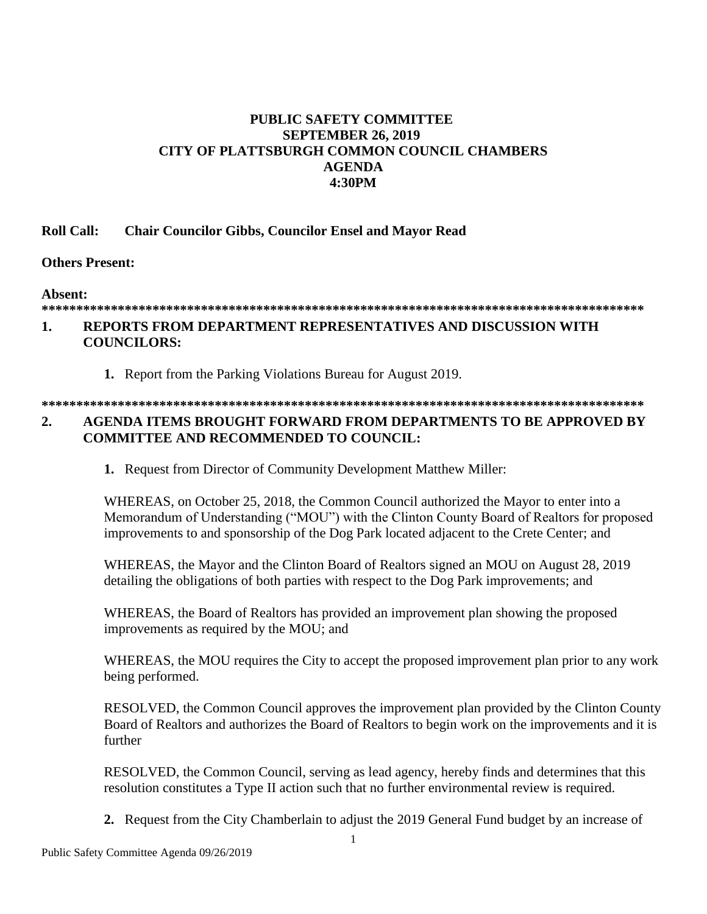## **PUBLIC SAFETY COMMITTEE SEPTEMBER 26, 2019** CITY OF PLATTSBURGH COMMON COUNCIL CHAMBERS **AGENDA** 4:30PM

#### **Roll Call: Chair Councilor Gibbs, Councilor Ensel and Mayor Read**

## Others Present:

Absent:

# 

#### REPORTS FROM DEPARTMENT REPRESENTATIVES AND DISCUSSION WITH  $\mathbf{1}$ . **COUNCILORS:**

1. Report from the Parking Violations Bureau for August 2019.

### AGENDA ITEMS BROUGHT FORWARD FROM DEPARTMENTS TO BE APPROVED BY  $\overline{2}$ . **COMMITTEE AND RECOMMENDED TO COUNCIL:**

1. Request from Director of Community Development Matthew Miller:

WHEREAS, on October 25, 2018, the Common Council authorized the Mayor to enter into a Memorandum of Understanding ("MOU") with the Clinton County Board of Realtors for proposed improvements to and sponsorship of the Dog Park located adjacent to the Crete Center; and

WHEREAS, the Mayor and the Clinton Board of Realtors signed an MOU on August 28, 2019 detailing the obligations of both parties with respect to the Dog Park improvements; and

WHEREAS, the Board of Realtors has provided an improvement plan showing the proposed improvements as required by the MOU; and

WHEREAS, the MOU requires the City to accept the proposed improvement plan prior to any work being performed.

RESOLVED, the Common Council approves the improvement plan provided by the Clinton County Board of Realtors and authorizes the Board of Realtors to begin work on the improvements and it is further

RESOLVED, the Common Council, serving as lead agency, hereby finds and determines that this resolution constitutes a Type II action such that no further environmental review is required.

2. Request from the City Chamberlain to adjust the 2019 General Fund budget by an increase of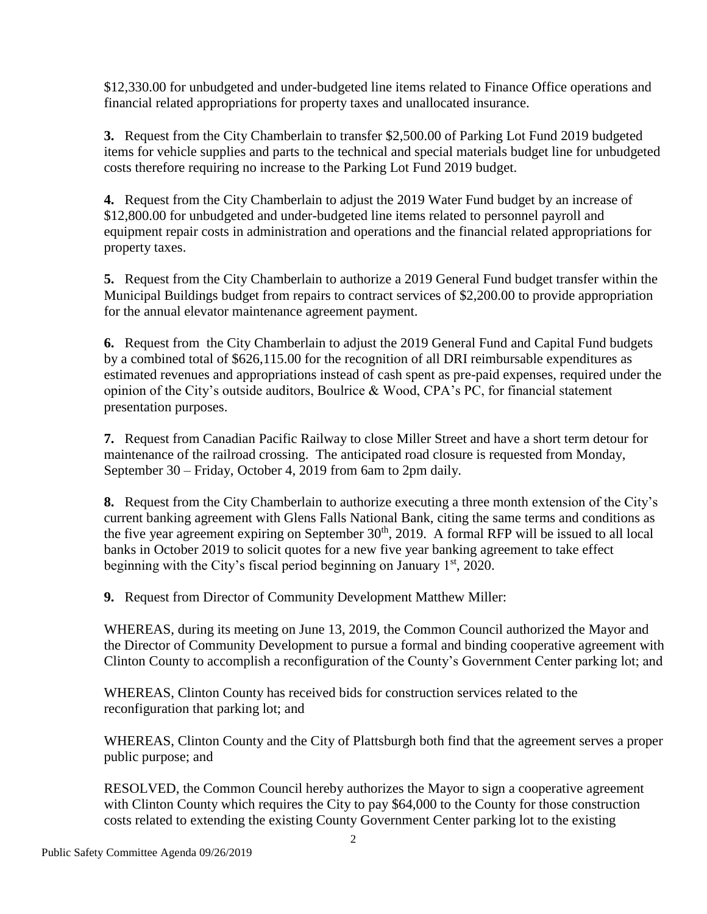\$12,330.00 for unbudgeted and under-budgeted line items related to Finance Office operations and financial related appropriations for property taxes and unallocated insurance.

**3.** Request from the City Chamberlain to transfer \$2,500.00 of Parking Lot Fund 2019 budgeted items for vehicle supplies and parts to the technical and special materials budget line for unbudgeted costs therefore requiring no increase to the Parking Lot Fund 2019 budget.

**4.** Request from the City Chamberlain to adjust the 2019 Water Fund budget by an increase of \$12,800.00 for unbudgeted and under-budgeted line items related to personnel payroll and equipment repair costs in administration and operations and the financial related appropriations for property taxes.

**5.** Request from the City Chamberlain to authorize a 2019 General Fund budget transfer within the Municipal Buildings budget from repairs to contract services of \$2,200.00 to provide appropriation for the annual elevator maintenance agreement payment.

**6.** Request from the City Chamberlain to adjust the 2019 General Fund and Capital Fund budgets by a combined total of \$626,115.00 for the recognition of all DRI reimbursable expenditures as estimated revenues and appropriations instead of cash spent as pre-paid expenses, required under the opinion of the City's outside auditors, Boulrice & Wood, CPA's PC, for financial statement presentation purposes.

**7.** Request from Canadian Pacific Railway to close Miller Street and have a short term detour for maintenance of the railroad crossing. The anticipated road closure is requested from Monday, September 30 – Friday, October 4, 2019 from 6am to 2pm daily.

**8.** Request from the City Chamberlain to authorize executing a three month extension of the City's current banking agreement with Glens Falls National Bank, citing the same terms and conditions as the five year agreement expiring on September  $30<sup>th</sup>$ , 2019. A formal RFP will be issued to all local banks in October 2019 to solicit quotes for a new five year banking agreement to take effect beginning with the City's fiscal period beginning on January  $1<sup>st</sup>$ , 2020.

**9.** Request from Director of Community Development Matthew Miller:

WHEREAS, during its meeting on June 13, 2019, the Common Council authorized the Mayor and the Director of Community Development to pursue a formal and binding cooperative agreement with Clinton County to accomplish a reconfiguration of the County's Government Center parking lot; and

WHEREAS, Clinton County has received bids for construction services related to the reconfiguration that parking lot; and

WHEREAS, Clinton County and the City of Plattsburgh both find that the agreement serves a proper public purpose; and

RESOLVED, the Common Council hereby authorizes the Mayor to sign a cooperative agreement with Clinton County which requires the City to pay \$64,000 to the County for those construction costs related to extending the existing County Government Center parking lot to the existing